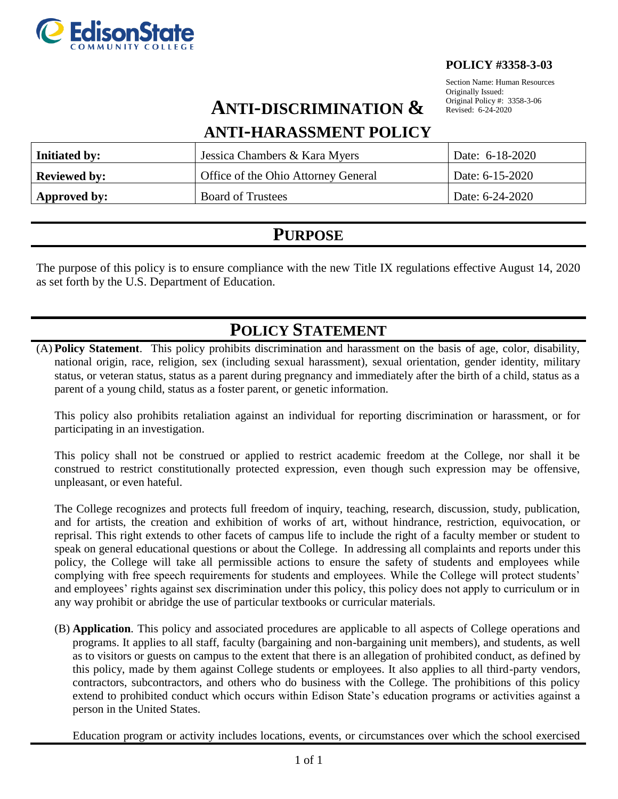

#### **POLICY #3358-3-03**

Section Name: Human Resources Originally Issued: Original Policy #: 3358-3-06 Revised: 6-24-2020

# **ANTI-DISCRIMINATION &**

### **ANTI-HARASSMENT POLICY**

| <b>Initiated by:</b> | Jessica Chambers & Kara Myers       | Date: 6-18-2020 |
|----------------------|-------------------------------------|-----------------|
| <b>Reviewed by:</b>  | Office of the Ohio Attorney General | Date: 6-15-2020 |
| Approved by:         | <b>Board of Trustees</b>            | Date: 6-24-2020 |

## **PURPOSE**

The purpose of this policy is to ensure compliance with the new Title IX regulations effective August 14, 2020 as set forth by the U.S. Department of Education.

# **POLICY STATEMENT**

(A) **Policy Statement**. This policy prohibits discrimination and harassment on the basis of age, color, disability, national origin, race, religion, sex (including sexual harassment), sexual orientation, gender identity, military status, or veteran status, status as a parent during pregnancy and immediately after the birth of a child, status as a parent of a young child, status as a foster parent, or genetic information.

This policy also prohibits retaliation against an individual for reporting discrimination or harassment, or for participating in an investigation.

This policy shall not be construed or applied to restrict academic freedom at the College, nor shall it be construed to restrict constitutionally protected expression, even though such expression may be offensive, unpleasant, or even hateful.

The College recognizes and protects full freedom of inquiry, teaching, research, discussion, study, publication, and for artists, the creation and exhibition of works of art, without hindrance, restriction, equivocation, or reprisal. This right extends to other facets of campus life to include the right of a faculty member or student to speak on general educational questions or about the College. In addressing all complaints and reports under this policy, the College will take all permissible actions to ensure the safety of students and employees while complying with free speech requirements for students and employees. While the College will protect students' and employees' rights against sex discrimination under this policy, this policy does not apply to curriculum or in any way prohibit or abridge the use of particular textbooks or curricular materials.

(B) **Application**. This policy and associated procedures are applicable to all aspects of College operations and programs. It applies to all staff, faculty (bargaining and non-bargaining unit members), and students, as well as to visitors or guests on campus to the extent that there is an allegation of prohibited conduct, as defined by this policy, made by them against College students or employees. It also applies to all third-party vendors, contractors, subcontractors, and others who do business with the College. The prohibitions of this policy extend to prohibited conduct which occurs within Edison State's education programs or activities against a person in the United States.

Education program or activity includes locations, events, or circumstances over which the school exercised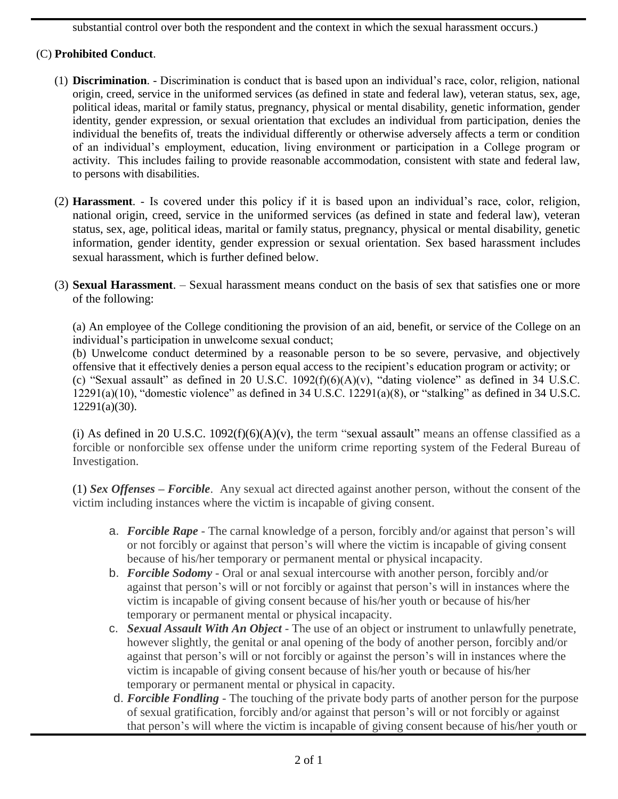substantial control over both the respondent and the context in which the sexual harassment occurs.)

### (C) **Prohibited Conduct**.

- (1) **Discrimination**. Discrimination is conduct that is based upon an individual's race, color, religion, national origin, creed, service in the uniformed services (as defined in state and federal law), veteran status, sex, age, political ideas, marital or family status, pregnancy, physical or mental disability, genetic information, gender identity, gender expression, or sexual orientation that excludes an individual from participation, denies the individual the benefits of, treats the individual differently or otherwise adversely affects a term or condition of an individual's employment, education, living environment or participation in a College program or activity. This includes failing to provide reasonable accommodation, consistent with state and federal law, to persons with disabilities.
- (2) **Harassment**. Is covered under this policy if it is based upon an individual's race, color, religion, national origin, creed, service in the uniformed services (as defined in state and federal law), veteran status, sex, age, political ideas, marital or family status, pregnancy, physical or mental disability, genetic information, gender identity, gender expression or sexual orientation. Sex based harassment includes sexual harassment, which is further defined below.
- (3) **Sexual Harassment**. Sexual harassment means conduct on the basis of sex that satisfies one or more of the following:

(a) An employee of the College conditioning the provision of an aid, benefit, or service of the College on an individual's participation in unwelcome sexual conduct;

(b) Unwelcome conduct determined by a reasonable person to be so severe, pervasive, and objectively offensive that it effectively denies a person equal access to the recipient's education program or activity; or (c) "Sexual assault" as defined in 20 U.S.C.  $1092(f)(6)(A)(v)$ , "dating violence" as defined in 34 U.S.C. 12291(a)(10), "domestic violence" as defined in 34 U.S.C. 12291(a)(8), or "stalking" as defined in 34 U.S.C. 12291(a)(30).

(i) As defined in 20 U.S.C.  $1092(f)(6)(A)(v)$ , the term "sexual [assault"](https://www.law.cornell.edu/definitions/uscode.php?width=840&height=800&iframe=true&def_id=20-USC-653448663-459747174&term_occur=999&term_src=) means an offense classified as a forcible or nonforcible sex offense under the uniform crime reporting system of the Federal Bureau of Investigation.

(1) *Sex Offenses – Forcible*. Any sexual act directed against another person, without the consent of the victim including instances where the victim is incapable of giving consent.

- a. *Forcible Rape* The carnal knowledge of a person, forcibly and/or against that person's will or not forcibly or against that person's will where the victim is incapable of giving consent because of his/her temporary or permanent mental or physical incapacity.
- b. *Forcible Sodomy* Oral or anal sexual intercourse with another person, forcibly and/or against that person's will or not forcibly or against that person's will in instances where the victim is incapable of giving consent because of his/her youth or because of his/her temporary or permanent mental or physical incapacity.
- c. *Sexual Assault With An Object* The use of an object or instrument to unlawfully penetrate, however slightly, the genital or anal opening of the body of another person, forcibly and/or against that person's will or not forcibly or against the person's will in instances where the victim is incapable of giving consent because of his/her youth or because of his/her temporary or permanent mental or physical in capacity.
- d. *Forcible Fondling* The touching of the private body parts of another person for the purpose of sexual gratification, forcibly and/or against that person's will or not forcibly or against that person's will where the victim is incapable of giving consent because of his/her youth or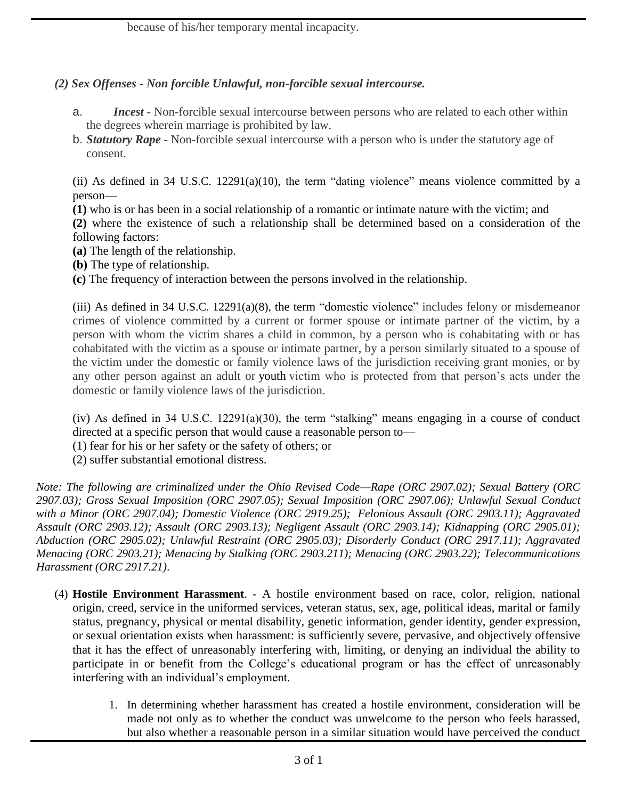### *(2) Sex Offenses - Non forcible Unlawful, non-forcible sexual intercourse.*

- a. *Incest* Non-forcible sexual intercourse between persons who are related to each other within the degrees wherein marriage is prohibited by law.
- b. *Statutory Rape* Non-forcible sexual intercourse with a person who is under the statutory age of consent.

(ii) As defined in 34 U.S.C. 12291(a)(10), the term "dating violence" means violence committed by a person—

**(1)** who is or has been in a social relationship of a romantic or intimate nature with the victim; and

**(2)** where the existence of such a relationship shall be determined based on a consideration of the following factors:

- **(a)** The length of the relationship.
- **(b)** The type of relationship.

**(c)** The frequency of interaction between the persons involved in the relationship.

(iii) As defined in 34 U.S.C. 12291(a)(8), the term "domestic violence" includes felony or misdemeanor crimes of violence committed by a current or former spouse or intimate partner of the victim, by a person with whom the victim shares a child in common, by a person who is cohabitating with or has cohabitated with the victim as a spouse or intimate partner, by a person similarly situated to a spouse of the victim under the domestic or family violence laws of the jurisdiction receiving grant monies, or by any other person against an adult or [youth](https://www.law.cornell.edu/definitions/uscode.php?width=840&height=800&iframe=true&def_id=34-USC-115168979-1259336254&term_occur=999&term_src=title:34:subtitle:I:chapter:121:subchapter:III:section:12291) victim who is protected from that person's acts under the domestic or family violence laws of the jurisdiction.

(iv) As defined in 34 U.S.C. 12291(a)(30), the term "stalking" means engaging in a course of conduct directed at a specific person that would cause a reasonable person to—

(1) fear for his or her safety or the safety of others; or

(2) suffer substantial emotional distress.

*Note: The following are criminalized under the Ohio Revised Code—Rape (ORC 2907.02); Sexual Battery (ORC 2907.03); Gross Sexual Imposition (ORC 2907.05); Sexual Imposition (ORC 2907.06); Unlawful Sexual Conduct with a Minor (ORC 2907.04); Domestic Violence (ORC 2919.25); Felonious Assault (ORC 2903.11); Aggravated Assault (ORC 2903.12); Assault (ORC 2903.13); Negligent Assault (ORC 2903.14); Kidnapping (ORC 2905.01); Abduction (ORC 2905.02); Unlawful Restraint (ORC 2905.03); Disorderly Conduct (ORC 2917.11); Aggravated Menacing (ORC 2903.21); Menacing by Stalking (ORC 2903.211); Menacing (ORC 2903.22); Telecommunications Harassment (ORC 2917.21)*.

- (4) **Hostile Environment Harassment**. A hostile environment based on race, color, religion, national origin, creed, service in the uniformed services, veteran status, sex, age, political ideas, marital or family status, pregnancy, physical or mental disability, genetic information, gender identity, gender expression, or sexual orientation exists when harassment: is sufficiently severe, pervasive, and objectively offensive that it has the effect of unreasonably interfering with, limiting, or denying an individual the ability to participate in or benefit from the College's educational program or has the effect of unreasonably interfering with an individual's employment.
	- 1. In determining whether harassment has created a hostile environment, consideration will be made not only as to whether the conduct was unwelcome to the person who feels harassed, but also whether a reasonable person in a similar situation would have perceived the conduct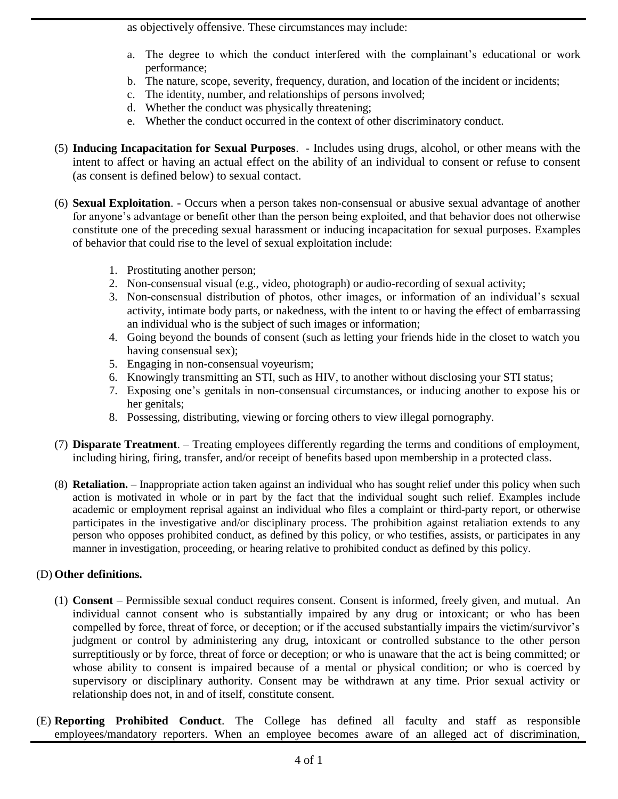as objectively offensive. These circumstances may include:

- a. The degree to which the conduct interfered with the complainant's educational or work performance;
- b. The nature, scope, severity, frequency, duration, and location of the incident or incidents;
- c. The identity, number, and relationships of persons involved;
- d. Whether the conduct was physically threatening;
- e. Whether the conduct occurred in the context of other discriminatory conduct.
- (5) **Inducing Incapacitation for Sexual Purposes**. Includes using drugs, alcohol, or other means with the intent to affect or having an actual effect on the ability of an individual to consent or refuse to consent (as consent is defined below) to sexual contact.
- (6) **Sexual Exploitation**. Occurs when a person takes non-consensual or abusive sexual advantage of another for anyone's advantage or benefit other than the person being exploited, and that behavior does not otherwise constitute one of the preceding sexual harassment or inducing incapacitation for sexual purposes. Examples of behavior that could rise to the level of sexual exploitation include:
	- 1. Prostituting another person;
	- 2. Non-consensual visual (e.g., video, photograph) or audio-recording of sexual activity;
	- 3. Non-consensual distribution of photos, other images, or information of an individual's sexual activity, intimate body parts, or nakedness, with the intent to or having the effect of embarrassing an individual who is the subject of such images or information;
	- 4. Going beyond the bounds of consent (such as letting your friends hide in the closet to watch you having consensual sex);
	- 5. Engaging in non-consensual voyeurism;
	- 6. Knowingly transmitting an STI, such as HIV, to another without disclosing your STI status;
	- 7. Exposing one's genitals in non-consensual circumstances, or inducing another to expose his or her genitals;
	- 8. Possessing, distributing, viewing or forcing others to view illegal pornography.
- (7) **Disparate Treatment**. Treating employees differently regarding the terms and conditions of employment, including hiring, firing, transfer, and/or receipt of benefits based upon membership in a protected class.
- (8) **Retaliation.**  Inappropriate action taken against an individual who has sought relief under this policy when such action is motivated in whole or in part by the fact that the individual sought such relief. Examples include academic or employment reprisal against an individual who files a complaint or third-party report, or otherwise participates in the investigative and/or disciplinary process. The prohibition against retaliation extends to any person who opposes prohibited conduct, as defined by this policy, or who testifies, assists, or participates in any manner in investigation, proceeding, or hearing relative to prohibited conduct as defined by this policy.

### (D) **Other definitions.**

- (1) **Consent**  Permissible sexual conduct requires consent. Consent is informed, freely given, and mutual. An individual cannot consent who is substantially impaired by any drug or intoxicant; or who has been compelled by force, threat of force, or deception; or if the accused substantially impairs the victim/survivor's judgment or control by administering any drug, intoxicant or controlled substance to the other person surreptitiously or by force, threat of force or deception; or who is unaware that the act is being committed; or whose ability to consent is impaired because of a mental or physical condition; or who is coerced by supervisory or disciplinary authority. Consent may be withdrawn at any time. Prior sexual activity or relationship does not, in and of itself, constitute consent.
- (E) **Reporting Prohibited Conduct**. The College has defined all faculty and staff as responsible employees/mandatory reporters. When an employee becomes aware of an alleged act of discrimination,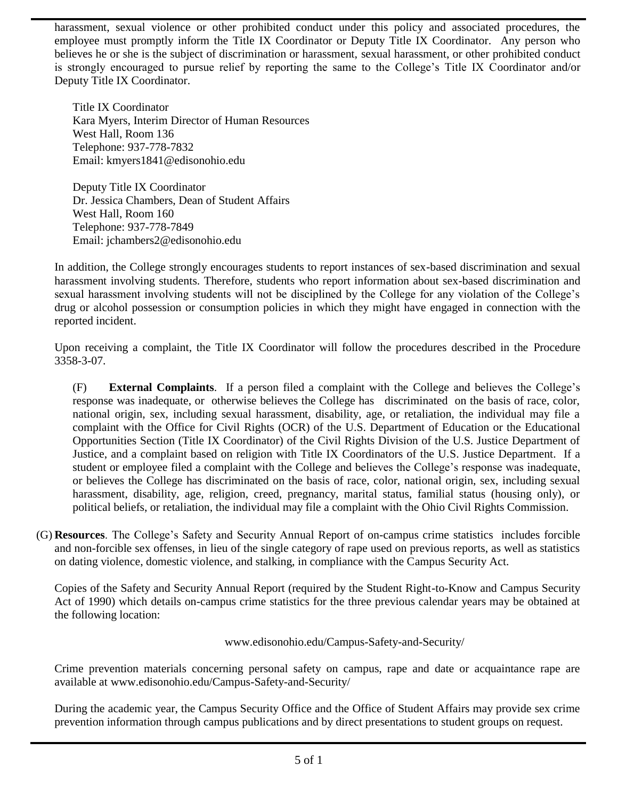harassment, sexual violence or other prohibited conduct under this policy and associated procedures, the employee must promptly inform the Title IX Coordinator or Deputy Title IX Coordinator. Any person who believes he or she is the subject of discrimination or harassment, sexual harassment, or other prohibited conduct is strongly encouraged to pursue relief by reporting the same to the College's Title IX Coordinator and/or Deputy Title IX Coordinator.

Title IX Coordinator Kara Myers, Interim Director of Human Resources West Hall, Room 136 Telephone: 937-778-7832 Email: kmyers1841@edisonohio.edu

Deputy Title IX Coordinator Dr. Jessica Chambers, Dean of Student Affairs West Hall, Room 160 Telephone: 937-778-7849 Email: jchambers2@edisonohio.edu

In addition, the College strongly encourages students to report instances of sex-based discrimination and sexual harassment involving students. Therefore, students who report information about sex-based discrimination and sexual harassment involving students will not be disciplined by the College for any violation of the College's drug or alcohol possession or consumption policies in which they might have engaged in connection with the reported incident.

Upon receiving a complaint, the Title IX Coordinator will follow the procedures described in the Procedure 3358-3-07.

(F) **External Complaints**. If a person filed a complaint with the College and believes the College's response was inadequate, or otherwise believes the College has discriminated on the basis of race, color, national origin, sex, including sexual harassment, disability, age, or retaliation, the individual may file a complaint with the Office for Civil Rights (OCR) of the U.S. Department of Education or the Educational Opportunities Section (Title IX Coordinator) of the Civil Rights Division of the U.S. Justice Department of Justice, and a complaint based on religion with Title IX Coordinators of the U.S. Justice Department. If a student or employee filed a complaint with the College and believes the College's response was inadequate, or believes the College has discriminated on the basis of race, color, national origin, sex, including sexual harassment, disability, age, religion, creed, pregnancy, marital status, familial status (housing only), or political beliefs, or retaliation, the individual may file a complaint with the Ohio Civil Rights Commission.

(G) **Resources**. The College's Safety and Security Annual Report of on-campus crime statistics includes forcible and non-forcible sex offenses, in lieu of the single category of rape used on previous reports, as well as statistics on dating violence, domestic violence, and stalking, in compliance with the Campus Security Act.

Copies of the Safety and Security Annual Report (required by the Student Right-to-Know and Campus Security Act of 1990) which details on-campus crime statistics for the three previous calendar years may be obtained at the following location:

www.edisonohio.edu/Campus-Safety-and-Security/

Crime prevention materials concerning personal safety on campus, rape and date or acquaintance rape are available at www.edisonohio.edu/Campus-Safety-and-Security/

During the academic year, the Campus Security Office and the Office of Student Affairs may provide sex crime prevention information through campus publications and by direct presentations to student groups on request.